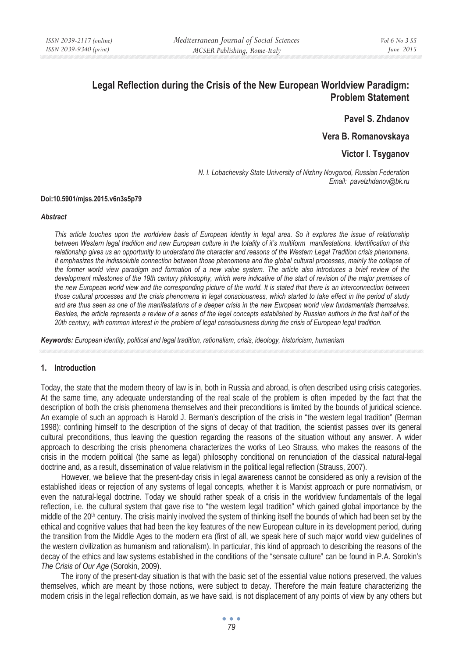# **Legal Reflection during the Crisis of the New European Worldview Paradigm: Problem Statement**

**Pavel S. Zhdanov** 

**Vera B. Romanovskaya** 

**Victor I. Tsyganov** 

*N. I. Lobachevsky State University of Nizhny Novgorod, Russian Federation Email: pavelzhdanov@bk.ru* 

#### **Doi:10.5901/mjss.2015.v6n3s5p79**

#### *Abstract*

*This article touches upon the worldview basis of European identity in legal area. So it explores the issue of relationship between Western legal tradition and new European culture in the totality of it's multiform manifestations. Identification of this relationship gives us an opportunity to understand the character and reasons of the Western Legal Tradition crisis phenomena. It emphasizes the indissoluble connection between those phenomena and the global cultural processes, mainly the collapse of the former world view paradigm and formation of a new value system. The article also introduces a brief review of the*  development milestones of the 19th century philosophy, which were indicative of the start of revision of the major premises of *the new European world view and the corresponding picture of the world. It is stated that there is an interconnection between those cultural processes and the crisis phenomena in legal consciousness, which started to take effect in the period of study and are thus seen as one of the manifestations of a deeper crisis in the new European world view fundamentals themselves. Besides, the article represents a review of a series of the legal concepts established by Russian authors in the first half of the 20th century, with common interest in the problem of legal consciousness during the crisis of European legal tradition.* 

*Keywords: European identity, political and legal tradition, rationalism, crisis, ideology, historicism, humanism*

#### **1. Introduction**

Today, the state that the modern theory of law is in, both in Russia and abroad, is often described using crisis categories. At the same time, any adequate understanding of the real scale of the problem is often impeded by the fact that the description of both the crisis phenomena themselves and their preconditions is limited by the bounds of juridical science. An example of such an approach is Harold J. Berman's description of the crisis in "the western legal tradition" (Berman 1998): confining himself to the description of the signs of decay of that tradition, the scientist passes over its general cultural preconditions, thus leaving the question regarding the reasons of the situation without any answer. A wider approach to describing the crisis phenomena characterizes the works of Leo Strauss, who makes the reasons of the crisis in the modern political (the same as legal) philosophy conditional on renunciation of the classical natural-legal doctrine and, as a result, dissemination of value relativism in the political legal reflection (Strauss, 2007).

However, we believe that the present-day crisis in legal awareness cannot be considered as only a revision of the established ideas or rejection of any systems of legal concepts, whether it is Marxist approach or pure normativism, or even the natural-legal doctrine. Today we should rather speak of a crisis in the worldview fundamentals of the legal reflection, i.e. the cultural system that gave rise to "the western legal tradition" which gained global importance by the middle of the 20<sup>th</sup> century. The crisis mainly involved the system of thinking itself the bounds of which had been set by the ethical and cognitive values that had been the key features of the new European culture in its development period, during the transition from the Middle Ages to the modern era (first of all, we speak here of such major world view guidelines of the western civilization as humanism and rationalism). In particular, this kind of approach to describing the reasons of the decay of the ethics and law systems established in the conditions of the "sensate culture" can be found in P.A. Sorokin's *The Crisis of Our Age* (Sorokin, 2009).

The irony of the present-day situation is that with the basic set of the essential value notions preserved, the values themselves, which are meant by those notions, were subject to decay. Therefore the main feature characterizing the modern crisis in the legal reflection domain, as we have said, is not displacement of any points of view by any others but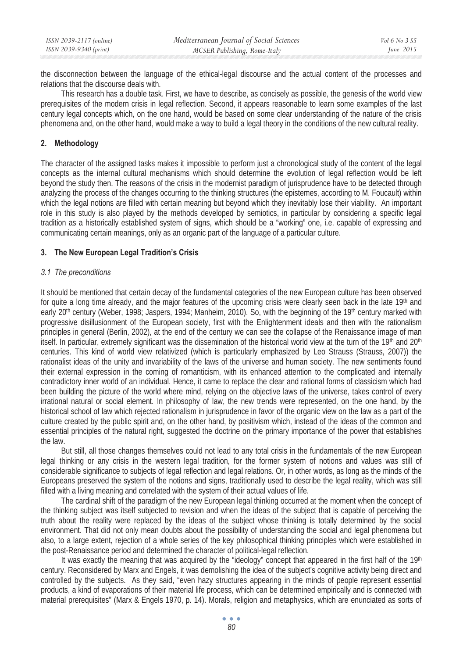| ISSN 2039-2117 (online) | Mediterranean Journal of Social Sciences | Vol 6 No 3 S5 |
|-------------------------|------------------------------------------|---------------|
| ISSN 2039-9340 (print)  | MCSER Publishing, Rome-Italy             | June $2015$   |

the disconnection between the language of the ethical-legal discourse and the actual content of the processes and relations that the discourse deals with.

This research has a double task. First, we have to describe, as concisely as possible, the genesis of the world view prerequisites of the modern crisis in legal reflection. Second, it appears reasonable to learn some examples of the last century legal concepts which, on the one hand, would be based on some clear understanding of the nature of the crisis phenomena and, on the other hand, would make a way to build a legal theory in the conditions of the new cultural reality.

### **2. Methodology**

The character of the assigned tasks makes it impossible to perform just a chronological study of the content of the legal concepts as the internal cultural mechanisms which should determine the evolution of legal reflection would be left beyond the study then. The reasons of the crisis in the modernist paradigm of jurisprudence have to be detected through analyzing the process of the changes occurring to the thinking structures (the epistemes, according to M. Foucault) within which the legal notions are filled with certain meaning but beyond which they inevitably lose their viability. An important role in this study is also played by the methods developed by semiotics, in particular by considering a specific legal tradition as a historically established system of signs, which should be a "working" one, i.e. capable of expressing and communicating certain meanings, only as an organic part of the language of a particular culture.

### **3. The New European Legal Tradition's Crisis**

### *3.1 The preconditions*

It should be mentioned that certain decay of the fundamental categories of the new European culture has been observed for quite a long time already, and the major features of the upcoming crisis were clearly seen back in the late 19<sup>th</sup> and early 20<sup>th</sup> century (Weber, 1998; Jaspers, 1994; Manheim, 2010). So, with the beginning of the 19<sup>th</sup> century marked with progressive disillusionment of the European society, first with the Enlightenment ideals and then with the rationalism principles in general (Berlin, 2002), at the end of the century we can see the collapse of the Renaissance image of man itself. In particular, extremely significant was the dissemination of the historical world view at the turn of the 19<sup>th</sup> and 20<sup>th</sup> centuries. This kind of world view relativized (which is particularly emphasized by Leo Strauss (Strauss, 2007)) the rationalist ideas of the unity and invariability of the laws of the universe and human society. The new sentiments found their external expression in the coming of romanticism, with its enhanced attention to the complicated and internally contradictory inner world of an individual. Hence, it came to replace the clear and rational forms of classicism which had been building the picture of the world where mind, relying on the objective laws of the universe, takes control of every irrational natural or social element. In philosophy of law, the new trends were represented, on the one hand, by the historical school of law which rejected rationalism in jurisprudence in favor of the organic view on the law as a part of the culture created by the public spirit and, on the other hand, by positivism which, instead of the ideas of the common and essential principles of the natural right, suggested the doctrine on the primary importance of the power that establishes the law.

But still, all those changes themselves could not lead to any total crisis in the fundamentals of the new European legal thinking or any crisis in the western legal tradition, for the former system of notions and values was still of considerable significance to subjects of legal reflection and legal relations. Or, in other words, as long as the minds of the Europeans preserved the system of the notions and signs, traditionally used to describe the legal reality, which was still filled with a living meaning and correlated with the system of their actual values of life.

The cardinal shift of the paradigm of the new European legal thinking occurred at the moment when the concept of the thinking subject was itself subjected to revision and when the ideas of the subject that is capable of perceiving the truth about the reality were replaced by the ideas of the subject whose thinking is totally determined by the social environment. That did not only mean doubts about the possibility of understanding the social and legal phenomena but also, to a large extent, rejection of a whole series of the key philosophical thinking principles which were established in the post-Renaissance period and determined the character of political-legal reflection.

It was exactly the meaning that was acquired by the "ideology" concept that appeared in the first half of the 19th century. Reconsidered by Marx and Engels, it was demolishing the idea of the subject's cognitive activity being direct and controlled by the subjects. As they said, "even hazy structures appearing in the minds of people represent essential products, a kind of evaporations of their material life process, which can be determined empirically and is connected with material prerequisites" (Marx & Engels 1970, p. 14). Morals, religion and metaphysics, which are enunciated as sorts of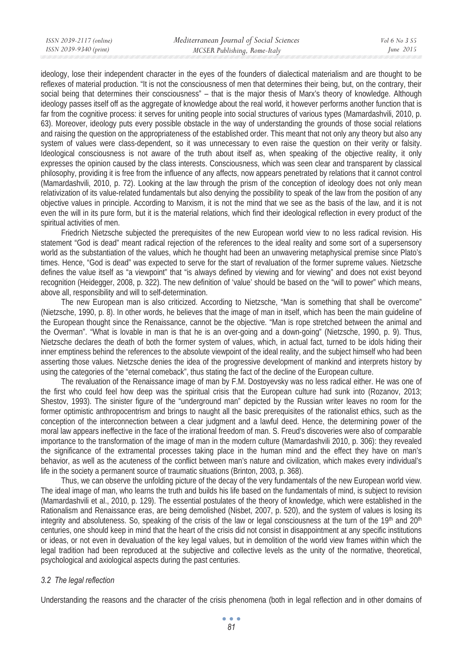ideology, lose their independent character in the eyes of the founders of dialectical materialism and are thought to be reflexes of material production. "It is not the consciousness of men that determines their being, but, on the contrary, their social being that determines their consciousness" – that is the major thesis of Marx's theory of knowledge. Although ideology passes itself off as the aggregate of knowledge about the real world, it however performs another function that is far from the cognitive process: it serves for uniting people into social structures of various types (Mamardashvili, 2010, p. 63). Moreover, ideology puts every possible obstacle in the way of understanding the grounds of those social relations and raising the question on the appropriateness of the established order. This meant that not only any theory but also any system of values were class-dependent, so it was unnecessary to even raise the question on their verity or falsity. Ideological consciousness is not aware of the truth about itself as, when speaking of the objective reality, it only expresses the opinion caused by the class interests. Consciousness, which was seen clear and transparent by classical philosophy, providing it is free from the influence of any affects, now appears penetrated by relations that it cannot control (Mamardashvili, 2010, p. 72). Looking at the law through the prism of the conception of ideology does not only mean relativization of its value-related fundamentals but also denying the possibility to speak of the law from the position of any objective values in principle. According to Marxism, it is not the mind that we see as the basis of the law, and it is not even the will in its pure form, but it is the material relations, which find their ideological reflection in every product of the spiritual activities of men.

Friedrich Nietzsche subjected the prerequisites of the new European world view to no less radical revision. His statement "God is dead" meant radical rejection of the references to the ideal reality and some sort of a supersensory world as the substantiation of the values, which he thought had been an unwavering metaphysical premise since Plato's times. Hence, "God is dead" was expected to serve for the start of revaluation of the former supreme values. Nietzsche defines the value itself as "a viewpoint" that "is always defined by viewing and for viewing" and does not exist beyond recognition (Heidegger, 2008, p. 322). The new definition of 'value' should be based on the "will to power" which means, above all, responsibility and will to self-determination.

The new European man is also criticized. According to Nietzsche, "Man is something that shall be overcome" (Nietzsche, 1990, p. 8). In other words, he believes that the image of man in itself, which has been the main guideline of the European thought since the Renaissance, cannot be the objective. "Man is rope stretched between the animal and the Overman". "What is lovable in man is that he is an over-going and a down-going" (Nietzsche, 1990, p. 9). Thus, Nietzsche declares the death of both the former system of values, which, in actual fact, turned to be idols hiding their inner emptiness behind the references to the absolute viewpoint of the ideal reality, and the subject himself who had been asserting those values. Nietzsche denies the idea of the progressive development of mankind and interprets history by using the categories of the "eternal comeback", thus stating the fact of the decline of the European culture.

The revaluation of the Renaissance image of man by F.M. Dostoyevsky was no less radical either. He was one of the first who could feel how deep was the spiritual crisis that the European culture had sunk into (Rozanov, 2013; Shestov, 1993). The sinister figure of the "underground man" depicted by the Russian writer leaves no room for the former optimistic anthropocentrism and brings to naught all the basic prerequisites of the rationalist ethics, such as the conception of the interconnection between a clear judgment and a lawful deed. Hence, the determining power of the moral law appears ineffective in the face of the irrational freedom of man. S. Freud's discoveries were also of comparable importance to the transformation of the image of man in the modern culture (Mamardashvili 2010, p. 306): they revealed the significance of the extramental processes taking place in the human mind and the effect they have on man's behavior, as well as the acuteness of the conflict between man's nature and civilization, which makes every individual's life in the society a permanent source of traumatic situations (Brinton, 2003, p. 368).

Thus, we can observe the unfolding picture of the decay of the very fundamentals of the new European world view. The ideal image of man, who learns the truth and builds his life based on the fundamentals of mind, is subject to revision (Mamardashvili et al., 2010, p. 129). The essential postulates of the theory of knowledge, which were established in the Rationalism and Renaissance eras, are being demolished (Nisbet, 2007, p. 520), and the system of values is losing its integrity and absoluteness. So, speaking of the crisis of the law or legal consciousness at the turn of the 19th and 20th centuries, one should keep in mind that the heart of the crisis did not consist in disappointment at any specific institutions or ideas, or not even in devaluation of the key legal values, but in demolition of the world view frames within which the legal tradition had been reproduced at the subjective and collective levels as the unity of the normative, theoretical, psychological and axiological aspects during the past centuries.

## *3.2 The legal reflection*

Understanding the reasons and the character of the crisis phenomena (both in legal reflection and in other domains of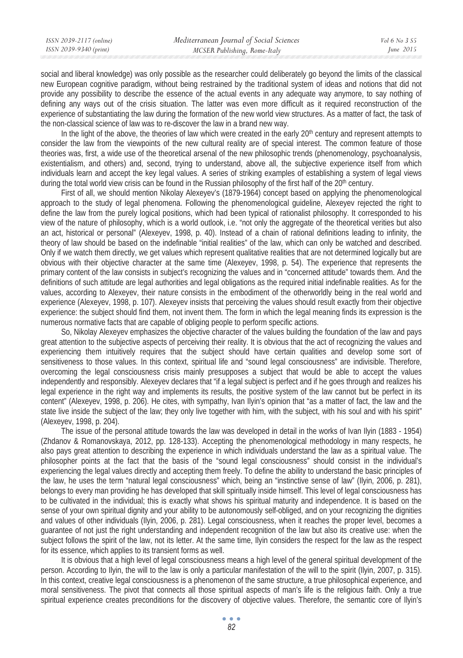| ISSN 2039-2117 (online) | Mediterranean Journal of Social Sciences | Vol 6 No 3 S5 |
|-------------------------|------------------------------------------|---------------|
| ISSN 2039-9340 (print)  | MCSER Publishing, Rome-Italy             | June $2015$   |
|                         |                                          |               |

social and liberal knowledge) was only possible as the researcher could deliberately go beyond the limits of the classical new European cognitive paradigm, without being restrained by the traditional system of ideas and notions that did not provide any possibility to describe the essence of the actual events in any adequate way anymore, to say nothing of defining any ways out of the crisis situation. The latter was even more difficult as it required reconstruction of the experience of substantiating the law during the formation of the new world view structures. As a matter of fact, the task of the non-classical science of law was to re-discover the law in a brand new way.

In the light of the above, the theories of law which were created in the early  $20<sup>th</sup>$  century and represent attempts to consider the law from the viewpoints of the new cultural reality are of special interest. The common feature of those theories was, first, a wide use of the theoretical arsenal of the new philosophic trends (phenomenology, psychoanalysis, existentialism, and others) and, second, trying to understand, above all, the subjective experience itself from which individuals learn and accept the key legal values. A series of striking examples of establishing a system of legal views during the total world view crisis can be found in the Russian philosophy of the first half of the 20<sup>th</sup> century.

First of all, we should mention Nikolay Alexeyev's (1879-1964) concept based on applying the phenomenological approach to the study of legal phenomena. Following the phenomenological guideline, Alexeyev rejected the right to define the law from the purely logical positions, which had been typical of rationalist philosophy. It corresponded to his view of the nature of philosophy, which is a world outlook, i.e. "not only the aggregate of the theoretical verities but also an act, historical or personal" (Alexeyev, 1998, p. 40). Instead of a chain of rational definitions leading to infinity, the theory of law should be based on the indefinable "initial realities" of the law, which can only be watched and described. Only if we watch them directly, we get values which represent qualitative realities that are not determined logically but are obvious with their objective character at the same time (Alexeyev, 1998, p. 54). The experience that represents the primary content of the law consists in subject's recognizing the values and in "concerned attitude" towards them. And the definitions of such attitude are legal authorities and legal obligations as the required initial indefinable realities. As for the values, according to Alexeyev, their nature consists in the embodiment of the otherworldly being in the real world and experience (Alexeyev, 1998, p. 107). Alexeyev insists that perceiving the values should result exactly from their objective experience: the subject should find them, not invent them. The form in which the legal meaning finds its expression is the numerous normative facts that are capable of obliging people to perform specific actions.

So, Nikolay Alexeyev emphasizes the objective character of the values building the foundation of the law and pays great attention to the subjective aspects of perceiving their reality. It is obvious that the act of recognizing the values and experiencing them intuitively requires that the subject should have certain qualities and develop some sort of sensitiveness to those values. In this context, spiritual life and "sound legal consciousness" are indivisible. Therefore, overcoming the legal consciousness crisis mainly presupposes a subject that would be able to accept the values independently and responsibly. Alexeyev declares that "if a legal subject is perfect and if he goes through and realizes his legal experience in the right way and implements its results, the positive system of the law cannot but be perfect in its content" (Alexeyev, 1998, p. 206). He cites, with sympathy, Ivan Ilyin's opinion that "as a matter of fact, the law and the state live inside the subject of the law; they only live together with him, with the subject, with his soul and with his spirit" (Alexeyev, 1998, p. 204).

The issue of the personal attitude towards the law was developed in detail in the works of Ivan Ilyin (1883 - 1954) (Zhdanov & Romanovskaya, 2012, pp. 128-133). Accepting the phenomenological methodology in many respects, he also pays great attention to describing the experience in which individuals understand the law as a spiritual value. The philosopher points at the fact that the basis of the "sound legal consciousness" should consist in the individual's experiencing the legal values directly and accepting them freely. To define the ability to understand the basic principles of the law, he uses the term "natural legal consciousness" which, being an "instinctive sense of law" (Ilyin, 2006, p. 281), belongs to every man providing he has developed that skill spiritually inside himself. This level of legal consciousness has to be cultivated in the individual; this is exactly what shows his spiritual maturity and independence. It is based on the sense of your own spiritual dignity and your ability to be autonomously self-obliged, and on your recognizing the dignities and values of other individuals (Ilyin, 2006, p. 281). Legal consciousness, when it reaches the proper level, becomes a guarantee of not just the right understanding and independent recognition of the law but also its creative use: when the subject follows the spirit of the law, not its letter. At the same time, Ilyin considers the respect for the law as the respect for its essence, which applies to its transient forms as well.

It is obvious that a high level of legal consciousness means a high level of the general spiritual development of the person. According to Ilyin, the will to the law is only a particular manifestation of the will to the spirit (Ilyin, 2007, p. 315). In this context, creative legal consciousness is a phenomenon of the same structure, a true philosophical experience, and moral sensitiveness. The pivot that connects all those spiritual aspects of man's life is the religious faith. Only a true spiritual experience creates preconditions for the discovery of objective values. Therefore, the semantic core of Ilyin's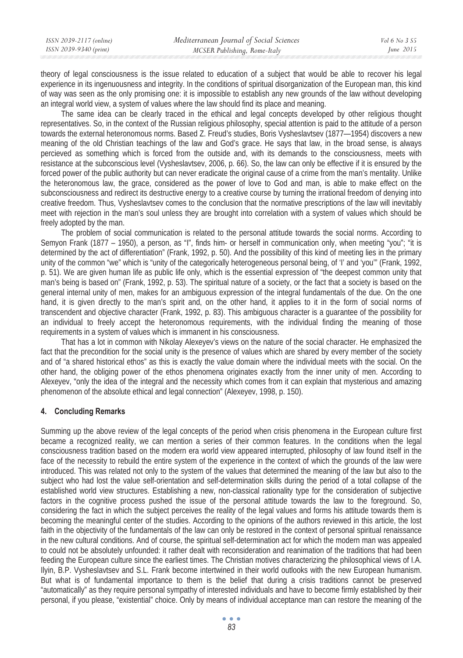| ISSN 2039-2117 (online) | Mediterranean Journal of Social Sciences | Vol 6 No 3 S5 |
|-------------------------|------------------------------------------|---------------|
| ISSN 2039-9340 (print)  | MCSER Publishing, Rome-Italy             | June $2015$   |
|                         |                                          |               |

theory of legal consciousness is the issue related to education of a subject that would be able to recover his legal experience in its ingenuousness and integrity. In the conditions of spiritual disorganization of the European man, this kind of way was seen as the only promising one: it is impossible to establish any new grounds of the law without developing an integral world view, a system of values where the law should find its place and meaning.

The same idea can be clearly traced in the ethical and legal concepts developed by other religious thought representatives. So, in the context of the Russian religious philosophy, special attention is paid to the attitude of a person towards the external heteronomous norms. Based Z. Freud's studies, Boris Vysheslavtsev (1877—1954) discovers a new meaning of the old Christian teachings of the law and God's grace. He says that law, in the broad sense, is always percieved as something which is forced from the outside and, with its demands to the consciousness, meets with resistance at the subconscious level (Vysheslavtsev, 2006, p. 66). So, the law can only be effective if it is ensured by the forced power of the public authority but can never eradicate the original cause of a crime from the man's mentality. Unlike the heteronomous law, the grace, considered as the power of love to God and man, is able to make effect on the subconsciousness and redirect its destructive energy to a creative course by turning the irrational freedom of denying into creative freedom. Thus, Vysheslavtsev comes to the conclusion that the normative prescriptions of the law will inevitably meet with rejection in the man's soul unless they are brought into correlation with a system of values which should be freely adopted by the man.

The problem of social communication is related to the personal attitude towards the social norms. According to Semyon Frank (1877 – 1950), a person, as "I", finds him- or herself in communication only, when meeting "you"; "it is determined by the act of differentiation" (Frank, 1992, p. 50). And the possibility of this kind of meeting lies in the primary unity of the common "we" which is "unity of the categorically heterogeneous personal being, of 'I' and 'you'" (Frank, 1992, p. 51). We are given human life as public life only, which is the essential expression of "the deepest common unity that man's being is based on" (Frank, 1992, p. 53). The spiritual nature of a society, or the fact that a society is based on the general internal unity of men, makes for an ambiguous expression of the integral fundamentals of the due. On the one hand, it is given directly to the man's spirit and, on the other hand, it applies to it in the form of social norms of transcendent and objective character (Frank, 1992, p. 83). This ambiguous character is a guarantee of the possibility for an individual to freely accept the heteronomous requirements, with the individual finding the meaning of those requirements in a system of values which is immanent in his consciousness.

That has a lot in common with Nikolay Alexeyev's views on the nature of the social character. He emphasized the fact that the precondition for the social unity is the presence of values which are shared by every member of the society and of "a shared historical ethos" as this is exactly the value domain where the individual meets with the social. On the other hand, the obliging power of the ethos phenomena originates exactly from the inner unity of men. According to Alexeyev, "only the idea of the integral and the necessity which comes from it can explain that mysterious and amazing phenomenon of the absolute ethical and legal connection" (Alexeyev, 1998, p. 150).

### **4. Concluding Remarks**

Summing up the above review of the legal concepts of the period when crisis phenomena in the European culture first became a recognized reality, we can mention a series of their common features. In the conditions when the legal consciousness tradition based on the modern era world view appeared interrupted, philosophy of law found itself in the face of the necessity to rebuild the entire system of the experience in the context of which the grounds of the law were introduced. This was related not only to the system of the values that determined the meaning of the law but also to the subject who had lost the value self-orientation and self-determination skills during the period of a total collapse of the established world view structures. Establishing a new, non-classical rationality type for the consideration of subjective factors in the cognitive process pushed the issue of the personal attitude towards the law to the foreground. So, considering the fact in which the subject perceives the reality of the legal values and forms his attitude towards them is becoming the meaningful center of the studies. According to the opinions of the authors reviewed in this article, the lost faith in the objectivity of the fundamentals of the law can only be restored in the context of personal spiritual renaissance in the new cultural conditions. And of course, the spiritual self-determination act for which the modern man was appealed to could not be absolutely unfounded: it rather dealt with reconsideration and reanimation of the traditions that had been feeding the European culture since the earliest times. The Christian motives characterizing the philosophical views of I.A. Ilyin, B.P. Vysheslavtsev and S.L. Frank become intertwined in their world outlooks with the new European humanism. But what is of fundamental importance to them is the belief that during a crisis traditions cannot be preserved "automatically" as they require personal sympathy of interested individuals and have to become firmly established by their personal, if you please, "existential" choice. Only by means of individual acceptance man can restore the meaning of the